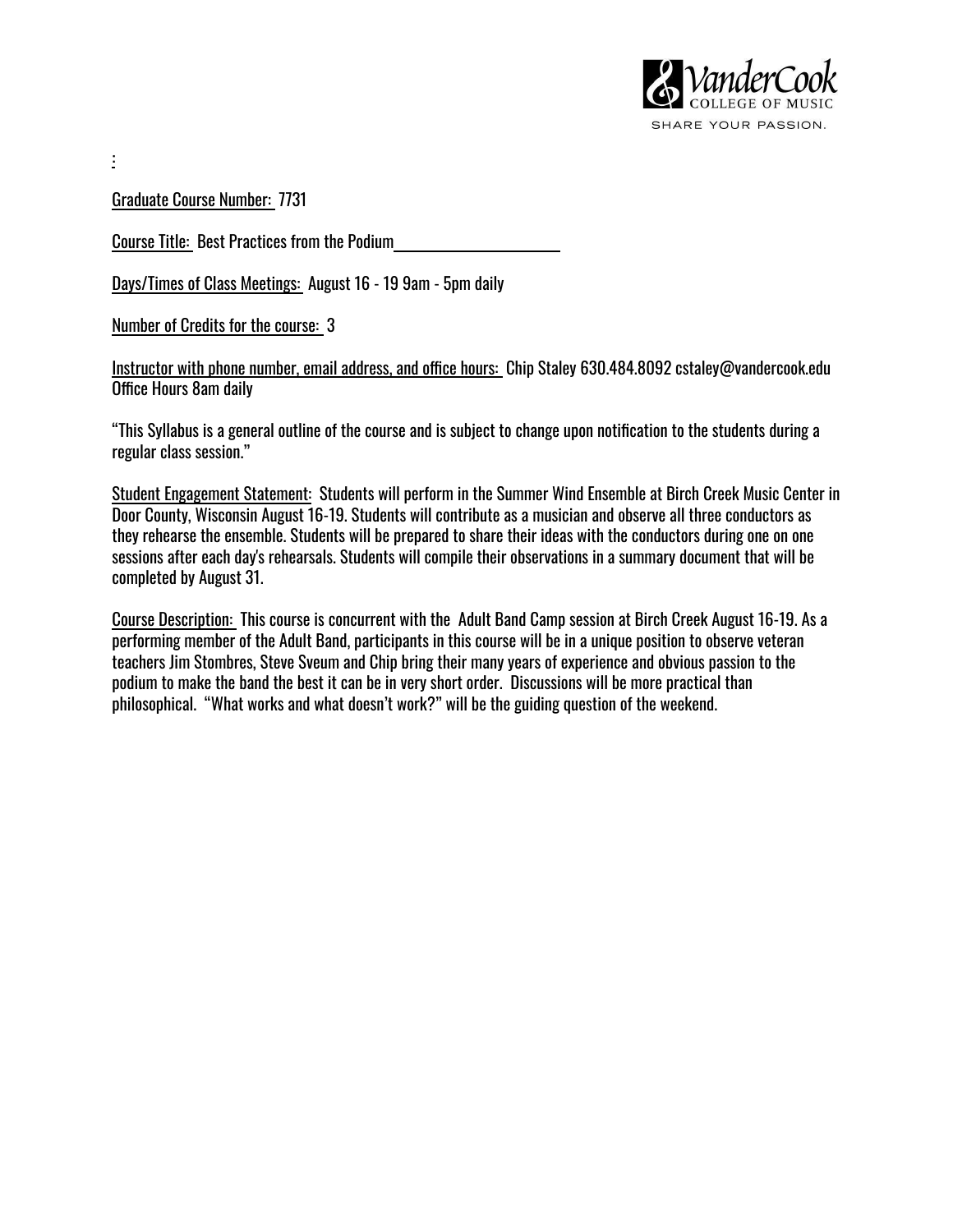

Graduate Course Number: 7731

:

Course Title: Best Practices from the Podium

Days/Times of Class Meetings: August 16 - 19 9am - 5pm daily

Number of Credits for the course: 3

Instructor with phone number, email address, and office hours: Chip Staley 630.484.8092 cstaley@vandercook.edu Office Hours 8am daily

"This Syllabus is a general outline of the course and is subject to change upon notification to the students during a regular class session."

Student Engagement Statement: Students will perform in the Summer Wind Ensemble at Birch Creek Music Center in Door County, Wisconsin August 16-19. Students will contribute as a musician and observe all three conductors as they rehearse the ensemble. Students will be prepared to share their ideas with the conductors during one on one sessions after each day's rehearsals. Students will compile their observations in a summary document that will be completed by August 31.

Course Description: This course is concurrent with the Adult Band Camp session at Birch Creek August 16-19. As a performing member of the Adult Band, participants in this course will be in a unique position to observe veteran teachers Jim Stombres, Steve Sveum and Chip bring their many years of experience and obvious passion to the podium to make the band the best it can be in very short order. Discussions will be more practical than philosophical. "What works and what doesn't work?" will be the guiding question of the weekend.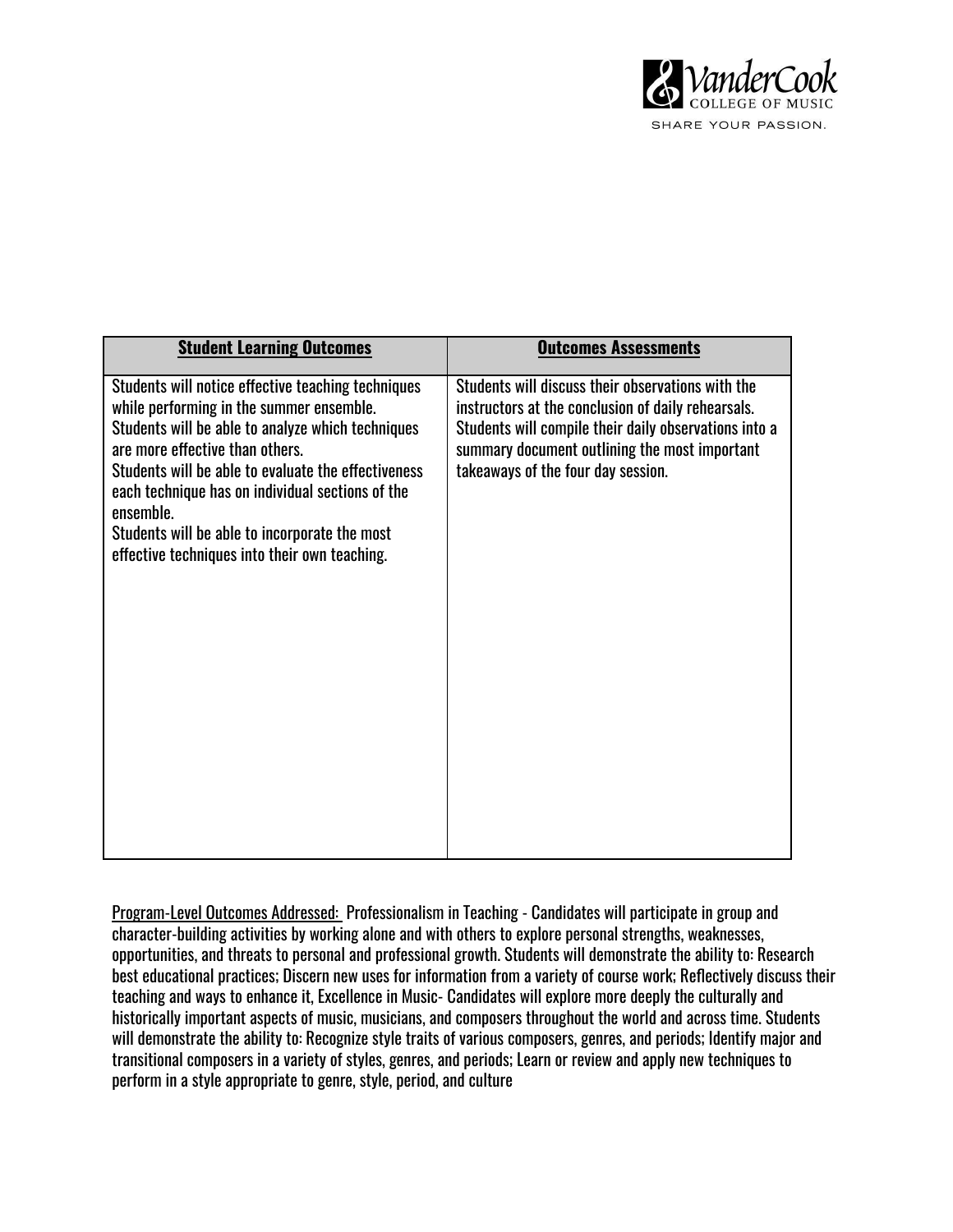

| <b>Student Learning Outcomes</b>                                                                                                                                                                                                                                                                                                                                                                                 | <b>Outcomes Assessments</b>                                                                                                                                                                                                                             |
|------------------------------------------------------------------------------------------------------------------------------------------------------------------------------------------------------------------------------------------------------------------------------------------------------------------------------------------------------------------------------------------------------------------|---------------------------------------------------------------------------------------------------------------------------------------------------------------------------------------------------------------------------------------------------------|
| Students will notice effective teaching techniques<br>while performing in the summer ensemble.<br>Students will be able to analyze which techniques<br>are more effective than others.<br>Students will be able to evaluate the effectiveness<br>each technique has on individual sections of the<br>ensemble.<br>Students will be able to incorporate the most<br>effective techniques into their own teaching. | Students will discuss their observations with the<br>instructors at the conclusion of daily rehearsals.<br>Students will compile their daily observations into a<br>summary document outlining the most important<br>takeaways of the four day session. |

Program-Level Outcomes Addressed: Professionalism in Teaching - Candidates will participate in group and character-building activities by working alone and with others to explore personal strengths, weaknesses, opportunities, and threats to personal and professional growth. Students will demonstrate the ability to: Research best educational practices; Discern new uses for information from a variety of course work; Reflectively discuss their teaching and ways to enhance it, Excellence in Music- Candidates will explore more deeply the culturally and historically important aspects of music, musicians, and composers throughout the world and across time. Students will demonstrate the ability to: Recognize style traits of various composers, genres, and periods; Identify major and transitional composers in a variety of styles, genres, and periods; Learn or review and apply new techniques to perform in a style appropriate to genre, style, period, and culture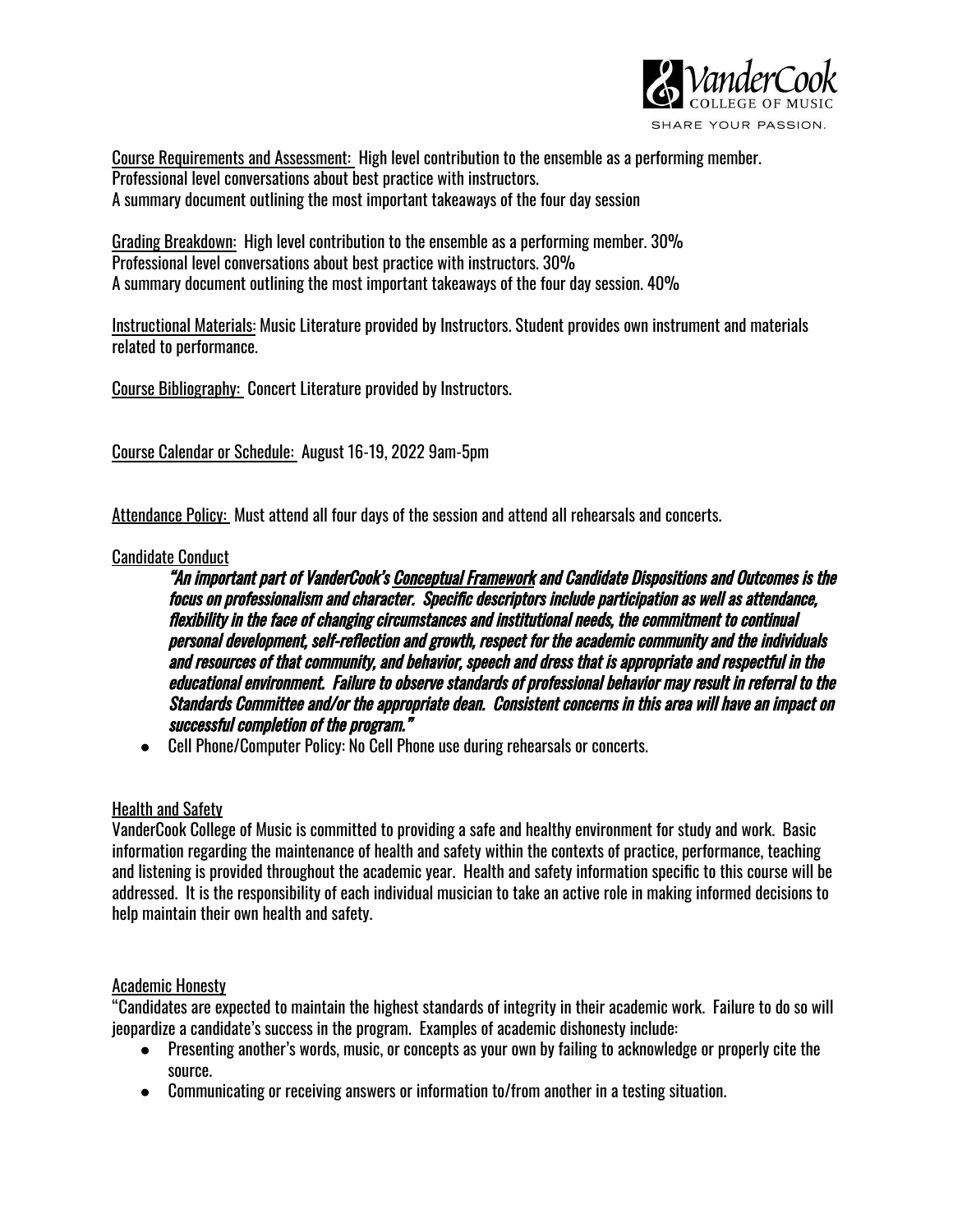

Course Requirements and Assessment: High level contribution to the ensemble as a performing member. Professional level conversations about best practice with instructors. A summary document outlining the most important takeaways of the four day session

Grading Breakdown: High level contribution to the ensemble as a performing member. 30% Professional level conversations about best practice with instructors. 30% A summary document outlining the most important takeaways of the four day session. 40%

Instructional Materials: Music Literature provided by Instructors. Student provides own instrument and materials related to performance.

Course Bibliography: Concert Literature provided by Instructors.

Course Calendar or Schedule: August 16-19, 2022 9am-5pm

Attendance Policy: Must attend all four days of the session and attend all rehearsals and concerts.

# Candidate Conduct

"An important part of VanderCook's Conceptual Framework and Candidate Dispositions and Outcomes is the focus on professionalism and character. Specific descriptors include participation as well as attendance, flexibility in the face of changing circumstances and institutional needs, the commitment to continual personal development, self-reflection and growth, respect for the academic community and the individuals and resources of that community, and behavior, speech and dress that is appropriate and respectful in the educational environment. Failure to observe standards of professional behavior may result in referral to the Standards Committee and/or the appropriate dean. Consistent concerns in this area will have an impact on successful completion of the program."

● Cell Phone/Computer Policy: No Cell Phone use during rehearsals or concerts.

### Health and Safety

VanderCook College of Music is committed to providing a safe and healthy environment for study and work. Basic information regarding the maintenance of health and safety within the contexts of practice, performance, teaching and listening is provided throughout the academic year. Health and safety information specific to this course will be addressed. It is the responsibility of each individual musician to take an active role in making informed decisions to help maintain their own health and safety.

### Academic Honesty

"Candidates are expected to maintain the highest standards of integrity in their academic work. Failure to do so will jeopardize a candidate's success in the program. Examples of academic dishonesty include:

- Presenting another's words, music, or concepts as your own by failing to acknowledge or properly cite the source.
- Communicating or receiving answers or information to/from another in a testing situation.